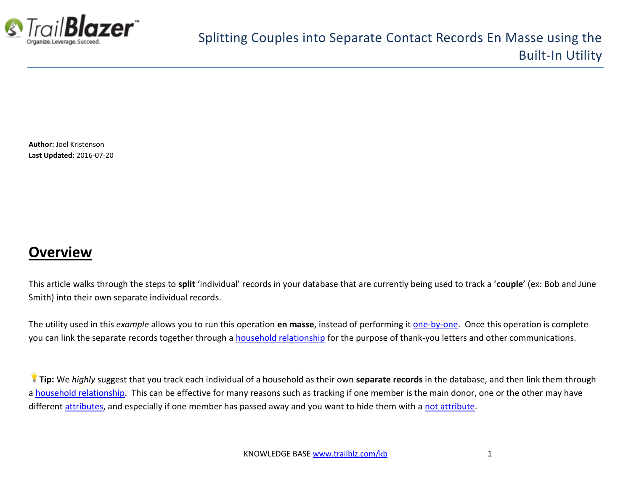

**Author:** Joel Kristenson **Last Updated:** 2016-07-20

### **Overview**

This article walks through the steps to **split** 'individual' records in your database that are currently being used to track a '**couple**' (ex: Bob and June Smith) into their own separate individual records.

The utility used in this *example* allows you to run this operation **en masse**, instead of performing it [one-by-one.](http://www.trailblz.com/kb/?action=view&kb=330&cat=1) Once this operation is complete you can link the separate records together through a [household relationship](http://www.trailblz.com/kb/?action=view&kb=213&cat=1) for the purpose of thank-you letters and other communications.

**Tip:** We *highly* suggest that you track each individual of a household as their own **separate records** in the database, and then link them through a [household relationship.](http://www.trailblz.com/kb/?action=view&kb=213&cat=1) This can be effective for many reasons such as tracking if one member is the main donor, one or the other may have different [attributes,](http://trailblz.com/kb/?action=view&kb=182&cat=1) and especially if one member has passed away and you want to hide them with a [not attribute.](http://www.trailblz.com/kb/?action=view&kb=247&cat=1)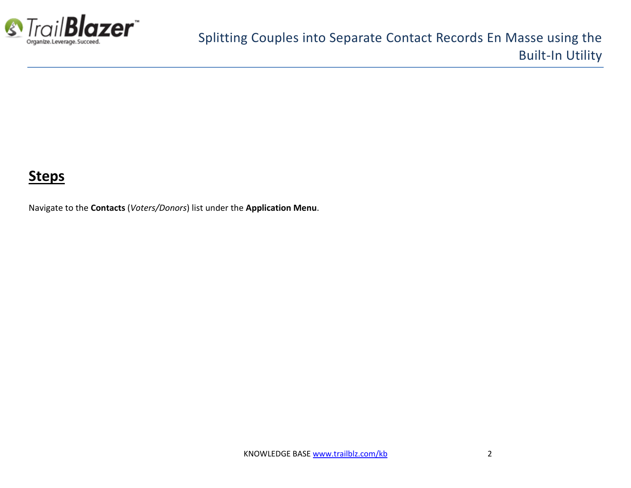

### **Steps**

Navigate to the **Contacts** (*Voters/Donors*) list under the **Application Menu**.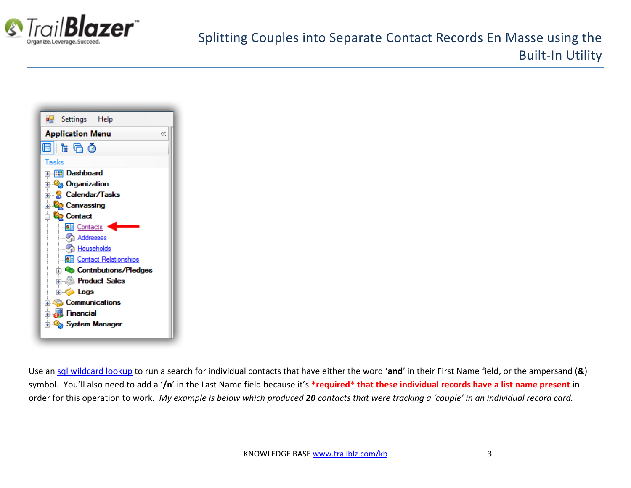



Use an [sql wildcard lookup](http://www.trailblz.com/kb/?action=view&kb=115&cat=1) to run a search for individual contacts that have either the word '**and**' in their First Name field, or the ampersand (**&**) symbol. You'll also need to add a '**/n**' in the Last Name field because it's **\*required\* that these individual records have a list name present** in order for this operation to work. *My example is below which produced 20 contacts that were tracking a 'couple' in an individual record card.*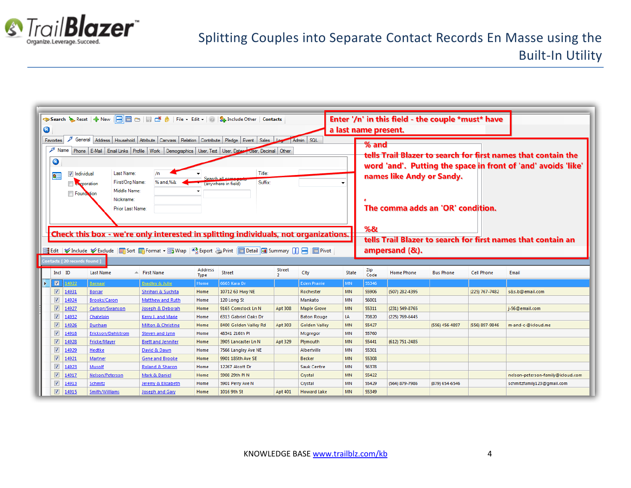

| Enter '/n' in this field - the couple *must* have                                                                                   |                                                                                                                                         |                     |                            |                        |                                |               |                      |              |                           |                                                                                                                                |                  |                   |                                   |  |  |  |
|-------------------------------------------------------------------------------------------------------------------------------------|-----------------------------------------------------------------------------------------------------------------------------------------|---------------------|----------------------------|------------------------|--------------------------------|---------------|----------------------|--------------|---------------------------|--------------------------------------------------------------------------------------------------------------------------------|------------------|-------------------|-----------------------------------|--|--|--|
| $\bullet$<br>a last name present.                                                                                                   |                                                                                                                                         |                     |                            |                        |                                |               |                      |              |                           |                                                                                                                                |                  |                   |                                   |  |  |  |
|                                                                                                                                     | General   Address   Household   Attribute   Canvass   Relation   Contribute   Pledge   Event   Sales<br>Admin SQL<br>Favorites<br>% and |                     |                            |                        |                                |               |                      |              |                           |                                                                                                                                |                  |                   |                                   |  |  |  |
|                                                                                                                                     | $\mathscr{F}$ Name<br>Phone E-Mail Email Links Profile Work Demographics User, Text User, Dates User, Decimal Other                     |                     |                            |                        |                                |               |                      |              |                           |                                                                                                                                |                  |                   |                                   |  |  |  |
|                                                                                                                                     |                                                                                                                                         |                     |                            |                        |                                |               |                      |              |                           | tells Trail Blazer to search for first names that contain the<br>word 'and'. Putting the space in front of 'and' avoids 'like' |                  |                   |                                   |  |  |  |
|                                                                                                                                     | $\bullet$                                                                                                                               |                     |                            |                        |                                |               |                      |              |                           |                                                                                                                                |                  |                   |                                   |  |  |  |
| $\overline{\mathbf{s}}$                                                                                                             | <b>V</b> Individual                                                                                                                     | Last Name:          | /n                         |                        | Title:                         |               |                      |              | names like Andy or Sandy. |                                                                                                                                |                  |                   |                                   |  |  |  |
|                                                                                                                                     | <b>A</b> rporation                                                                                                                      | First/Org Name:     | % and.%&                   | <b>Search al</b>       | Suffix:<br>(anywhere in field) |               |                      |              |                           |                                                                                                                                |                  |                   |                                   |  |  |  |
|                                                                                                                                     | Found tion                                                                                                                              | Middle Name:        |                            |                        |                                |               |                      |              |                           |                                                                                                                                |                  |                   |                                   |  |  |  |
|                                                                                                                                     |                                                                                                                                         | Nickname:           |                            |                        |                                |               |                      |              |                           |                                                                                                                                |                  |                   |                                   |  |  |  |
|                                                                                                                                     |                                                                                                                                         | Prior Last Name:    |                            |                        |                                |               |                      |              |                           | The comma adds an 'OR' condition.                                                                                              |                  |                   |                                   |  |  |  |
|                                                                                                                                     |                                                                                                                                         |                     |                            |                        |                                |               |                      |              |                           |                                                                                                                                |                  |                   |                                   |  |  |  |
|                                                                                                                                     |                                                                                                                                         |                     |                            |                        |                                |               |                      |              | %&                        |                                                                                                                                |                  |                   |                                   |  |  |  |
|                                                                                                                                     | Check this box - we're only interested in splitting individuals, not organizations.                                                     |                     |                            |                        |                                |               |                      |              |                           |                                                                                                                                |                  |                   |                                   |  |  |  |
| tells Trail Blazer to search for first names that contain an                                                                        |                                                                                                                                         |                     |                            |                        |                                |               |                      |              |                           |                                                                                                                                |                  |                   |                                   |  |  |  |
| 1 Edit   V Include V Exclude   田 Sort 田 Format ▼ m   Pa Export A Print   ■ Detail   ■ Summary         -   ■ Pivot<br>ampersand (&). |                                                                                                                                         |                     |                            |                        |                                |               |                      |              |                           |                                                                                                                                |                  |                   |                                   |  |  |  |
|                                                                                                                                     | Contacts [20 records found ]                                                                                                            |                     |                            |                        |                                |               |                      |              |                           |                                                                                                                                |                  |                   |                                   |  |  |  |
|                                                                                                                                     | Incl ID                                                                                                                                 | <b>Last Name</b>    | $\triangle$ First Name     | Address<br><b>Type</b> | <b>Street</b>                  | <b>Street</b> | City                 | <b>State</b> | Zip<br>Code               | <b>Home Phone</b>                                                                                                              | <b>Bus Phone</b> | <b>Cell Phone</b> | Email                             |  |  |  |
| $\blacksquare$                                                                                                                      | 14922                                                                                                                                   | <b>Barnaal</b>      | <b>Bradley &amp; Julie</b> | Home                   | 6665 Kara Dr                   |               | <b>Eden Prairie</b>  | <b>MN</b>    | 55346                     |                                                                                                                                |                  |                   |                                   |  |  |  |
| $\triangledown$                                                                                                                     | 14931                                                                                                                                   | <b>Borcar</b>       | Shrihari & Suchita         | Home                   | 10712 63 Hwy NE                |               | Rochester            | <b>MN</b>    | 55906                     | (507) 282-4395                                                                                                                 |                  | (225) 767-7482    | s&s.b@email.com                   |  |  |  |
| $\overline{\mathsf{v}}$                                                                                                             | 14924                                                                                                                                   | <b>Brooks/Caron</b> | <b>Matthew and Ruth</b>    | Home                   | 120 Long St                    |               | Mankato              | <b>MN</b>    | 56001                     |                                                                                                                                |                  |                   |                                   |  |  |  |
| V                                                                                                                                   | 14927                                                                                                                                   | Carlson/Swanson     | Joseph & Deborah           | Home                   | 9165 Comstock Ln N             | Apt 308       | <b>Maple Grove</b>   | <b>MN</b>    | 55311                     | (231) 549-8765                                                                                                                 |                  |                   | j-56@email.com                    |  |  |  |
| $\overline{\mathbf{v}}$                                                                                                             | 14932                                                                                                                                   | Chatelain           | Kerry J. and Marie         | Home                   | 6313 Gabriel Oaks Dr           |               | <b>Baton Rouge</b>   | LA           | 70820                     | (225) 769-6445                                                                                                                 |                  |                   |                                   |  |  |  |
| V                                                                                                                                   | 14926                                                                                                                                   | Dunham              | Milton & Christine         | Home                   | 8400 Golden Valley Rd          | Apt 303       | <b>Golden Valley</b> | <b>MN</b>    | 55427                     |                                                                                                                                | (556) 456-4897   | (556) 897-9846    | m-and-c-@icloud.me                |  |  |  |
| $\overline{\mathsf{v}}$                                                                                                             | 14918                                                                                                                                   | Erickson/Dahlstrom  | <b>Steven and Lynn</b>     | Home                   | 48341 216th Pl                 |               | Mcgregor             | <b>MN</b>    | 55760                     |                                                                                                                                |                  |                   |                                   |  |  |  |
| V                                                                                                                                   | 14928                                                                                                                                   | <b>Fricke/Mayer</b> | <b>Brett and Jennifer</b>  | Home                   | 3905 Lancaster Ln N            | Apt 329       | Plymouth             | <b>MN</b>    | 55441                     | (612) 751-2485                                                                                                                 |                  |                   |                                   |  |  |  |
| $\overline{\mathsf{v}}$                                                                                                             | 14929                                                                                                                                   | Hedtke              | David & Dawn               | Home                   | 7566 Langley Ave NE            |               | Albertville          | <b>MN</b>    | 55301                     |                                                                                                                                |                  |                   |                                   |  |  |  |
| $\triangledown$                                                                                                                     | 14921                                                                                                                                   | <b>Martner</b>      | Gene and Brooke            | Home                   | 9901 185th Ave SE              |               | <b>Becker</b>        | <b>MN</b>    | 55308                     |                                                                                                                                |                  |                   |                                   |  |  |  |
| $\overline{\mathsf{v}}$                                                                                                             | 14923                                                                                                                                   | Musolf              | <b>Roland &amp; Sharon</b> | Home                   | 12267 Alcott Dr                |               | <b>Sauk Centre</b>   | <b>MN</b>    | 56378                     |                                                                                                                                |                  |                   |                                   |  |  |  |
| $\overline{\mathbf{v}}$                                                                                                             | 14917                                                                                                                                   | Nelson/Peterson     | Mark & Daniel              | Home                   | 5908 29th PIN                  |               | Crystal              | <b>MN</b>    | 55422                     |                                                                                                                                |                  |                   | nelson-peterson-family@icloud.com |  |  |  |
| V                                                                                                                                   | 14913                                                                                                                                   | <b>Schmitz</b>      | Jeremy & Elizabeth         | Home                   | 5901 Perry Ave N               |               | Crystal              | <b>MN</b>    | 55429                     | (564) 879-7986                                                                                                                 | (879) 654-6546   |                   | schmitzfamily123@gmail.com        |  |  |  |
| $\overline{\mathbf{v}}$                                                                                                             | 14915                                                                                                                                   | Smith/Williams      | <b>Joseph and Gary</b>     | Home                   | 1016 9th St                    | Apt 401       | <b>Howard Lake</b>   | <b>MN</b>    | 55349                     |                                                                                                                                |                  |                   |                                   |  |  |  |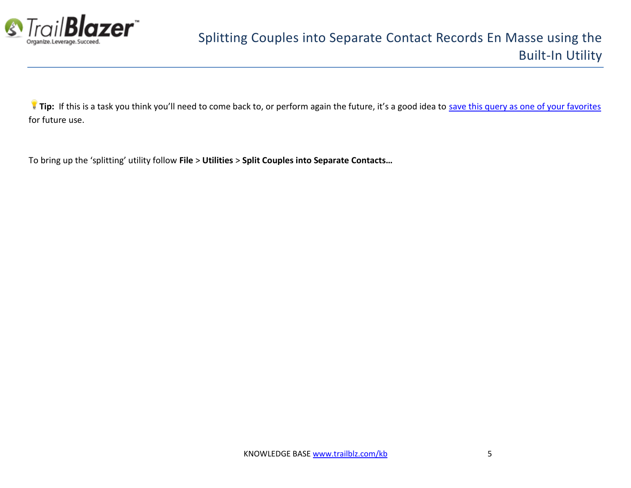

**Tip:** If this is a task you think you'll need to come back to, or perform again the future, it's a good idea to [save this query as one of your favorites](http://www.trailblz.com/kb/?action=view&kb=204&cat=1) for future use.

To bring up the 'splitting' utility follow **File** > **Utilities** > **Split Couples into Separate Contacts…**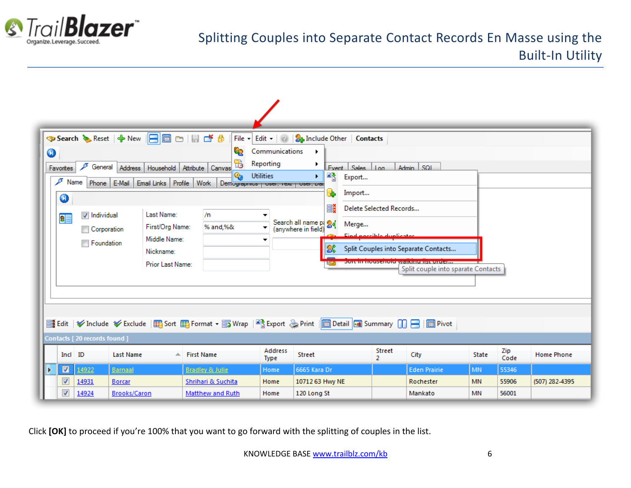

## Splitting Couples into Separate Contact Records En Masse using the Built-In Utility

| 0 | Favorites<br>$\mathscr{F}$ Name<br>0<br>83      | ℱ<br>General<br>Phone E-Mail<br><b>V</b> Individual<br>Corporation<br><b>Foundation</b> | <mark>❖ Search 、</mark> & Reset   ← New    - 日 圓 □   目 □ 台<br>Address<br>Household<br>Email Links<br>Last Name:<br>First/Org Name:<br>Middle Name:<br>Nickname:<br>Prior Last Name: | 62<br>Ъ<br>Attribute Canvas<br>Q,<br>Profile<br>Work<br>Demographica   Osci, rexu<br>/n<br>% and,%&             | File $-$ Edit $ \circledR$<br>Communications<br>Reporting<br><b>Utilities</b><br>$\blacktriangledown$<br>▼<br>▼ | <b>St.</b> Include Other   Contacts<br>٠<br>▸<br>Fvent Sales Lon<br>國文<br>¥.<br>Export<br>USCI, DOL<br>Import<br>Ð<br>Ξš<br>Search all name pr 84<br>Merge<br>(anywhere in field) | Delete Selected Records<br>Find poccible duplicates<br><u>em mousenoid.</u> | Admin SQL<br>Split Couples into Separate Contacts<br>WE HAIR REIN BEREICHT<br>Split couple into sparate Contacts |                                     |                         |                   |
|---|-------------------------------------------------|-----------------------------------------------------------------------------------------|-------------------------------------------------------------------------------------------------------------------------------------------------------------------------------------|-----------------------------------------------------------------------------------------------------------------|-----------------------------------------------------------------------------------------------------------------|-----------------------------------------------------------------------------------------------------------------------------------------------------------------------------------|-----------------------------------------------------------------------------|------------------------------------------------------------------------------------------------------------------|-------------------------------------|-------------------------|-------------------|
|   |                                                 | Contacts [20 records found]                                                             |                                                                                                                                                                                     | Es Edit   ✔ Include ¥ Exclude  田 Sort 田 Format ▼ m Wrap   stap ort A Print   ■ Detail   Bummary     日   ■ Pivot |                                                                                                                 |                                                                                                                                                                                   |                                                                             |                                                                                                                  |                                     |                         |                   |
|   | Incl ID                                         |                                                                                         | <b>Last Name</b>                                                                                                                                                                    | $\triangle$ First Name                                                                                          | Address<br><b>Type</b>                                                                                          | Street                                                                                                                                                                            | Street<br>$\overline{2}$                                                    | City                                                                                                             | <b>State</b>                        | Zip<br>Code             | <b>Home Phone</b> |
|   | $\blacksquare$<br>V<br>$\overline{\mathcal{A}}$ | 14922<br>14931<br>14924                                                                 | <b>Barnaal</b><br><b>Borcar</b><br><b>Brooks/Caron</b>                                                                                                                              | <b>Bradley &amp; Julie</b><br>Shrihari & Suchita<br>Matthew and Ruth                                            | Home<br>Home<br>Home                                                                                            | 6665 Kara Dr<br>10712 63 Hwy NE<br>120 Long St                                                                                                                                    |                                                                             | <b>Eden Prairie</b><br>Rochester<br>Mankato                                                                      | <b>MN</b><br><b>MN</b><br><b>MN</b> | 55346<br>55906<br>56001 | (507) 282-4395    |

Click **[OK]** to proceed if you're 100% that you want to go forward with the splitting of couples in the list.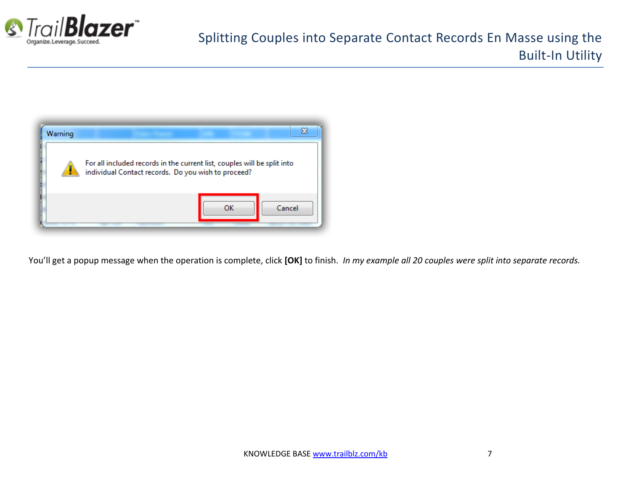



You'll get a popup message when the operation is complete, click **[OK]** to finish. *In my example all 20 couples were split into separate records.*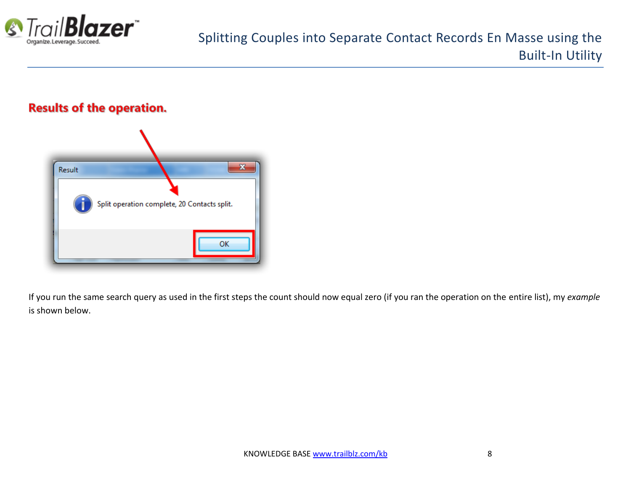

#### **Results of the operation.**



If you run the same search query as used in the first steps the count should now equal zero (if you ran the operation on the entire list), my *example* is shown below.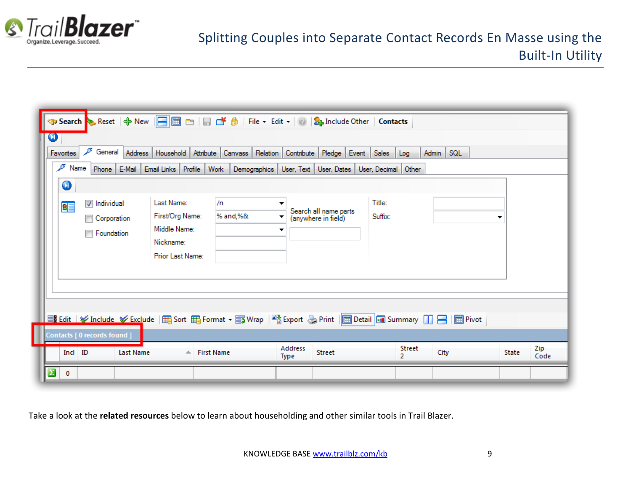

| Title:<br>Last Name:<br>/n<br>$\triangledown$ Individual<br>▼<br>晿<br>Search all name parts<br>First/Org Name:<br>Suffix:<br>% and,%&<br>▼<br>Corporation<br>(anywhere in field)<br>Middle Name:<br>▼<br><b>Foundation</b><br>Nickname:<br>Prior Last Name:<br><b>量 Edit   V</b> Include V Exclude   田 Sort 田 Format ▼ 国 Wrap   ■ Export A Print   ■ Detail   ■ Summary     日   ■ Pivot<br>Contacts [ 0 records found ] | $\bf \bm \omega$ | ₽<br>General<br>Favorites<br>P<br>Name<br>0 | <b>→ Search</b> Beset   ← New   日 圖 □   日 □ 台   File - Edit -   ◎   <mark>S<sub>I</sub> Include Other   Contacts</mark><br>Address   Household   Attribute   Canvass  <br>Phone E-Mail Email Links Profile Work | Relation<br>Contribute Pledge<br>Demographics   User, Text   User, Dates   User, Decimal   Other | Event<br>Sales | <b>Admin</b><br>Log | $ $ SQL |             |
|-------------------------------------------------------------------------------------------------------------------------------------------------------------------------------------------------------------------------------------------------------------------------------------------------------------------------------------------------------------------------------------------------------------------------|------------------|---------------------------------------------|-----------------------------------------------------------------------------------------------------------------------------------------------------------------------------------------------------------------|--------------------------------------------------------------------------------------------------|----------------|---------------------|---------|-------------|
|                                                                                                                                                                                                                                                                                                                                                                                                                         |                  |                                             |                                                                                                                                                                                                                 |                                                                                                  |                |                     |         |             |
| Street<br>Incl ID<br>City<br><b>State</b><br>Last Name<br>$\triangle$ First Name<br>$\mathcal{P}$<br><b>Type</b>                                                                                                                                                                                                                                                                                                        |                  |                                             |                                                                                                                                                                                                                 | Address                                                                                          |                | <b>Street</b>       |         | Zip<br>Code |

Take a look at the **related resources** below to learn about householding and other similar tools in Trail Blazer.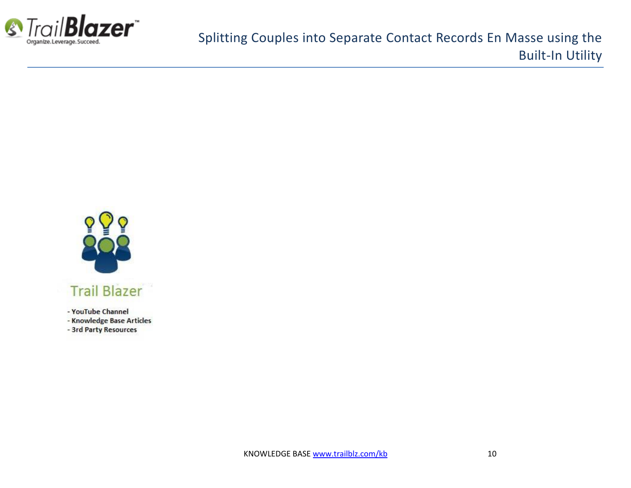



- YouTube Channel
- Knowledge Base Articles
- 3rd Party Resources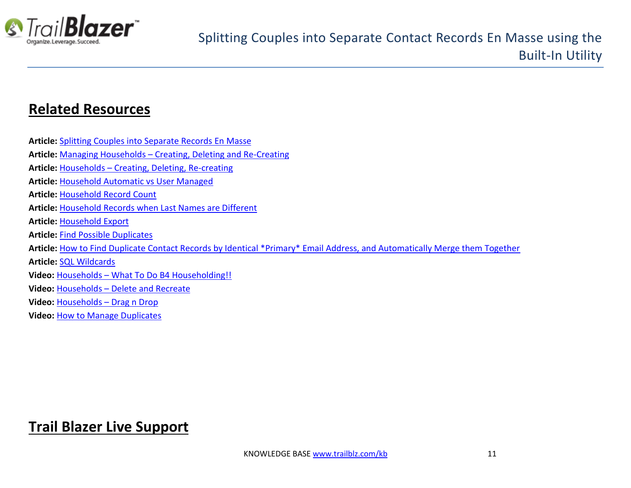

## **Related Resources**

| <b>Article: Splitting Couples into Separate Records En Masse</b>                                                           |
|----------------------------------------------------------------------------------------------------------------------------|
| Article: Managing Households - Creating, Deleting and Re-Creating                                                          |
| Article: Households - Creating, Deleting, Re-creating                                                                      |
| <b>Article: Household Automatic vs User Managed</b>                                                                        |
| <b>Article: Household Record Count</b>                                                                                     |
| Article: Household Records when Last Names are Different                                                                   |
| <b>Article: Household Export</b>                                                                                           |
| <b>Article: Find Possible Duplicates</b>                                                                                   |
| Article: How to Find Duplicate Contact Records by Identical *Primary* Email Address, and Automatically Merge them Together |
| <b>Article: SQL Wildcards</b>                                                                                              |
| Video: Households - What To Do B4 Householding!!                                                                           |
| Video: Households - Delete and Recreate                                                                                    |
| Video: Households - Drag n Drop                                                                                            |
| <b>Video: How to Manage Duplicates</b>                                                                                     |

# **Trail Blazer Live Support**